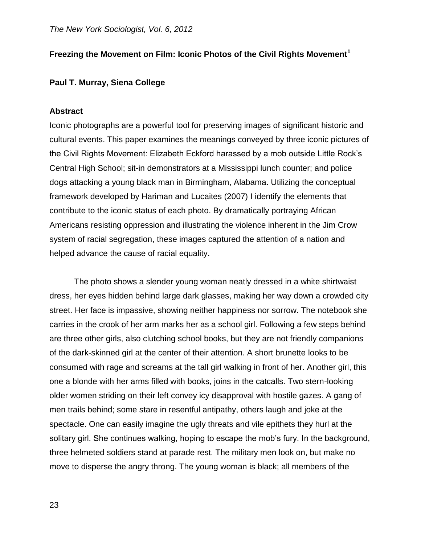# **Freezing the Movement on Film: Iconic Photos of the Civil Rights Movement<sup>1</sup>**

### **Paul T. Murray, Siena College**

#### **Abstract**

Iconic photographs are a powerful tool for preserving images of significant historic and cultural events. This paper examines the meanings conveyed by three iconic pictures of the Civil Rights Movement: Elizabeth Eckford harassed by a mob outside Little Rock's Central High School; sit-in demonstrators at a Mississippi lunch counter; and police dogs attacking a young black man in Birmingham, Alabama. Utilizing the conceptual framework developed by Hariman and Lucaites (2007) I identify the elements that contribute to the iconic status of each photo. By dramatically portraying African Americans resisting oppression and illustrating the violence inherent in the Jim Crow system of racial segregation, these images captured the attention of a nation and helped advance the cause of racial equality.

The photo shows a slender young woman neatly dressed in a white shirtwaist dress, her eyes hidden behind large dark glasses, making her way down a crowded city street. Her face is impassive, showing neither happiness nor sorrow. The notebook she carries in the crook of her arm marks her as a school girl. Following a few steps behind are three other girls, also clutching school books, but they are not friendly companions of the dark-skinned girl at the center of their attention. A short brunette looks to be consumed with rage and screams at the tall girl walking in front of her. Another girl, this one a blonde with her arms filled with books, joins in the catcalls. Two stern-looking older women striding on their left convey icy disapproval with hostile gazes. A gang of men trails behind; some stare in resentful antipathy, others laugh and joke at the spectacle. One can easily imagine the ugly threats and vile epithets they hurl at the solitary girl. She continues walking, hoping to escape the mob's fury. In the background, three helmeted soldiers stand at parade rest. The military men look on, but make no move to disperse the angry throng. The young woman is black; all members of the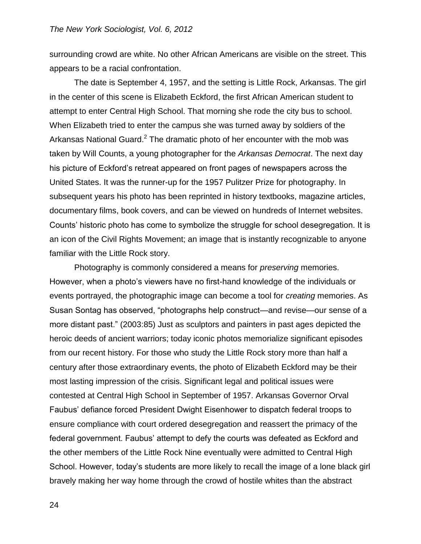surrounding crowd are white. No other African Americans are visible on the street. This appears to be a racial confrontation.

The date is September 4, 1957, and the setting is Little Rock, Arkansas. The girl in the center of this scene is Elizabeth Eckford, the first African American student to attempt to enter Central High School. That morning she rode the city bus to school. When Elizabeth tried to enter the campus she was turned away by soldiers of the Arkansas National Guard.<sup>2</sup> The dramatic photo of her encounter with the mob was taken by Will Counts, a young photographer for the *Arkansas Democrat*. The next day his picture of Eckford's retreat appeared on front pages of newspapers across the United States. It was the runner-up for the 1957 Pulitzer Prize for photography. In subsequent years his photo has been reprinted in history textbooks, magazine articles, documentary films, book covers, and can be viewed on hundreds of Internet websites. Counts' historic photo has come to symbolize the struggle for school desegregation. It is an icon of the Civil Rights Movement; an image that is instantly recognizable to anyone familiar with the Little Rock story.

Photography is commonly considered a means for *preserving* memories. However, when a photo's viewers have no first-hand knowledge of the individuals or events portrayed, the photographic image can become a tool for *creating* memories. As Susan Sontag has observed, "photographs help construct—and revise—our sense of a more distant past." (2003:85) Just as sculptors and painters in past ages depicted the heroic deeds of ancient warriors; today iconic photos memorialize significant episodes from our recent history. For those who study the Little Rock story more than half a century after those extraordinary events, the photo of Elizabeth Eckford may be their most lasting impression of the crisis. Significant legal and political issues were contested at Central High School in September of 1957. Arkansas Governor Orval Faubus' defiance forced President Dwight Eisenhower to dispatch federal troops to ensure compliance with court ordered desegregation and reassert the primacy of the federal government. Faubus' attempt to defy the courts was defeated as Eckford and the other members of the Little Rock Nine eventually were admitted to Central High School. However, today's students are more likely to recall the image of a lone black girl bravely making her way home through the crowd of hostile whites than the abstract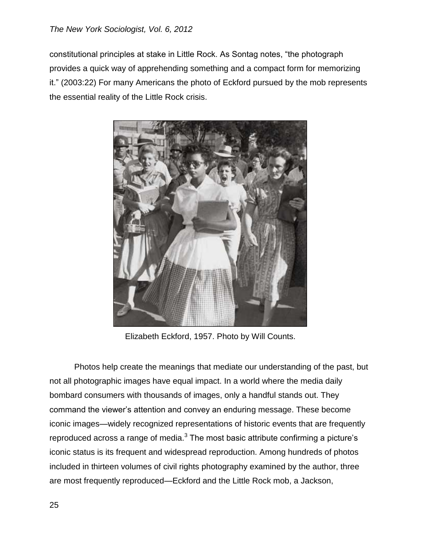constitutional principles at stake in Little Rock. As Sontag notes, "the photograph provides a quick way of apprehending something and a compact form for memorizing it." (2003:22) For many Americans the photo of Eckford pursued by the mob represents the essential reality of the Little Rock crisis.



Elizabeth Eckford, 1957. Photo by Will Counts.

Photos help create the meanings that mediate our understanding of the past, but not all photographic images have equal impact. In a world where the media daily bombard consumers with thousands of images, only a handful stands out. They command the viewer's attention and convey an enduring message. These become iconic images—widely recognized representations of historic events that are frequently reproduced across a range of media. $3$  The most basic attribute confirming a picture's iconic status is its frequent and widespread reproduction. Among hundreds of photos included in thirteen volumes of civil rights photography examined by the author, three are most frequently reproduced—Eckford and the Little Rock mob, a Jackson,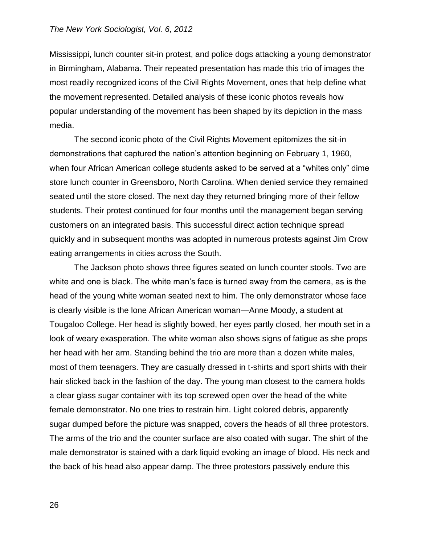Mississippi, lunch counter sit-in protest, and police dogs attacking a young demonstrator in Birmingham, Alabama. Their repeated presentation has made this trio of images the most readily recognized icons of the Civil Rights Movement, ones that help define what the movement represented. Detailed analysis of these iconic photos reveals how popular understanding of the movement has been shaped by its depiction in the mass media.

The second iconic photo of the Civil Rights Movement epitomizes the sit-in demonstrations that captured the nation's attention beginning on February 1, 1960, when four African American college students asked to be served at a "whites only" dime store lunch counter in Greensboro, North Carolina. When denied service they remained seated until the store closed. The next day they returned bringing more of their fellow students. Their protest continued for four months until the management began serving customers on an integrated basis. This successful direct action technique spread quickly and in subsequent months was adopted in numerous protests against Jim Crow eating arrangements in cities across the South.

The Jackson photo shows three figures seated on lunch counter stools. Two are white and one is black. The white man's face is turned away from the camera, as is the head of the young white woman seated next to him. The only demonstrator whose face is clearly visible is the lone African American woman—Anne Moody, a student at Tougaloo College. Her head is slightly bowed, her eyes partly closed, her mouth set in a look of weary exasperation. The white woman also shows signs of fatigue as she props her head with her arm. Standing behind the trio are more than a dozen white males, most of them teenagers. They are casually dressed in t-shirts and sport shirts with their hair slicked back in the fashion of the day. The young man closest to the camera holds a clear glass sugar container with its top screwed open over the head of the white female demonstrator. No one tries to restrain him. Light colored debris, apparently sugar dumped before the picture was snapped, covers the heads of all three protestors. The arms of the trio and the counter surface are also coated with sugar. The shirt of the male demonstrator is stained with a dark liquid evoking an image of blood. His neck and the back of his head also appear damp. The three protestors passively endure this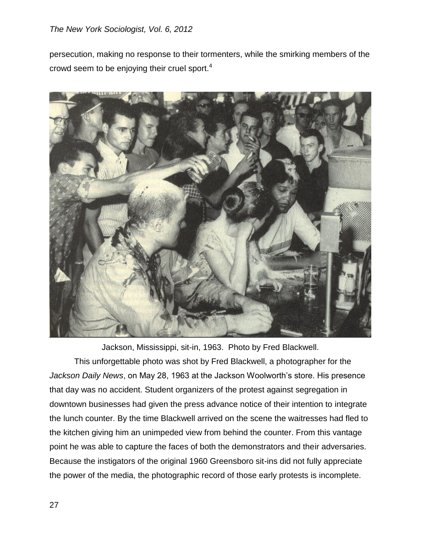persecution, making no response to their tormenters, while the smirking members of the crowd seem to be enjoying their cruel sport.<sup>4</sup>



Jackson, Mississippi, sit-in, 1963. Photo by Fred Blackwell.

This unforgettable photo was shot by Fred Blackwell, a photographer for the *Jackson Daily News*, on May 28, 1963 at the Jackson Woolworth's store. His presence that day was no accident. Student organizers of the protest against segregation in downtown businesses had given the press advance notice of their intention to integrate the lunch counter. By the time Blackwell arrived on the scene the waitresses had fled to the kitchen giving him an unimpeded view from behind the counter. From this vantage point he was able to capture the faces of both the demonstrators and their adversaries. Because the instigators of the original 1960 Greensboro sit-ins did not fully appreciate the power of the media, the photographic record of those early protests is incomplete.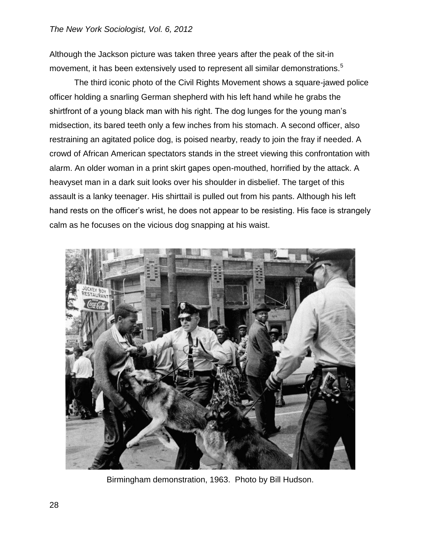Although the Jackson picture was taken three years after the peak of the sit-in movement, it has been extensively used to represent all similar demonstrations.<sup>5</sup>

The third iconic photo of the Civil Rights Movement shows a square-jawed police officer holding a snarling German shepherd with his left hand while he grabs the shirtfront of a young black man with his right. The dog lunges for the young man's midsection, its bared teeth only a few inches from his stomach. A second officer, also restraining an agitated police dog, is poised nearby, ready to join the fray if needed. A crowd of African American spectators stands in the street viewing this confrontation with alarm. An older woman in a print skirt gapes open-mouthed, horrified by the attack. A heavyset man in a dark suit looks over his shoulder in disbelief. The target of this assault is a lanky teenager. His shirttail is pulled out from his pants. Although his left hand rests on the officer's wrist, he does not appear to be resisting. His face is strangely calm as he focuses on the vicious dog snapping at his waist.



Birmingham demonstration, 1963. Photo by Bill Hudson.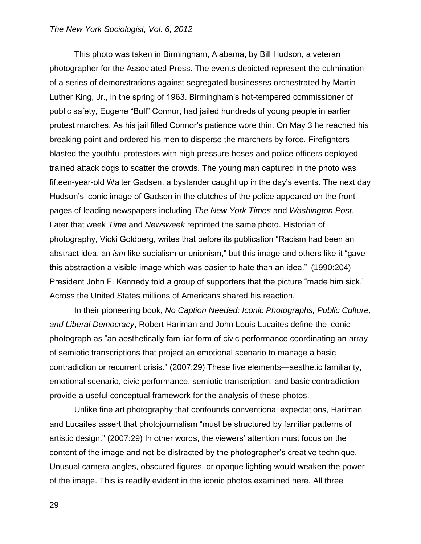This photo was taken in Birmingham, Alabama, by Bill Hudson, a veteran photographer for the Associated Press. The events depicted represent the culmination of a series of demonstrations against segregated businesses orchestrated by Martin Luther King, Jr., in the spring of 1963. Birmingham's hot-tempered commissioner of public safety, Eugene "Bull" Connor, had jailed hundreds of young people in earlier protest marches. As his jail filled Connor's patience wore thin. On May 3 he reached his breaking point and ordered his men to disperse the marchers by force. Firefighters blasted the youthful protestors with high pressure hoses and police officers deployed trained attack dogs to scatter the crowds. The young man captured in the photo was fifteen-year-old Walter Gadsen, a bystander caught up in the day's events. The next day Hudson's iconic image of Gadsen in the clutches of the police appeared on the front pages of leading newspapers including *The New York Times* and *Washington Post*. Later that week *Time* and *Newsweek* reprinted the same photo. Historian of photography, Vicki Goldberg, writes that before its publication "Racism had been an abstract idea, an *ism* like socialism or unionism," but this image and others like it "gave this abstraction a visible image which was easier to hate than an idea." (1990:204) President John F. Kennedy told a group of supporters that the picture "made him sick." Across the United States millions of Americans shared his reaction.

In their pioneering book, *No Caption Needed: Iconic Photographs, Public Culture, and Liberal Democracy*, Robert Hariman and John Louis Lucaites define the iconic photograph as "an aesthetically familiar form of civic performance coordinating an array of semiotic transcriptions that project an emotional scenario to manage a basic contradiction or recurrent crisis." (2007:29) These five elements—aesthetic familiarity, emotional scenario, civic performance, semiotic transcription, and basic contradiction provide a useful conceptual framework for the analysis of these photos.

Unlike fine art photography that confounds conventional expectations, Hariman and Lucaites assert that photojournalism "must be structured by familiar patterns of artistic design." (2007:29) In other words, the viewers' attention must focus on the content of the image and not be distracted by the photographer's creative technique. Unusual camera angles, obscured figures, or opaque lighting would weaken the power of the image. This is readily evident in the iconic photos examined here. All three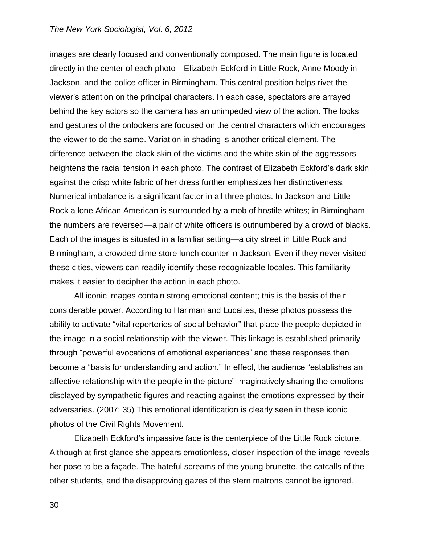images are clearly focused and conventionally composed. The main figure is located directly in the center of each photo—Elizabeth Eckford in Little Rock, Anne Moody in Jackson, and the police officer in Birmingham. This central position helps rivet the viewer's attention on the principal characters. In each case, spectators are arrayed behind the key actors so the camera has an unimpeded view of the action. The looks and gestures of the onlookers are focused on the central characters which encourages the viewer to do the same. Variation in shading is another critical element. The difference between the black skin of the victims and the white skin of the aggressors heightens the racial tension in each photo. The contrast of Elizabeth Eckford's dark skin against the crisp white fabric of her dress further emphasizes her distinctiveness. Numerical imbalance is a significant factor in all three photos. In Jackson and Little Rock a lone African American is surrounded by a mob of hostile whites; in Birmingham the numbers are reversed—a pair of white officers is outnumbered by a crowd of blacks. Each of the images is situated in a familiar setting—a city street in Little Rock and Birmingham, a crowded dime store lunch counter in Jackson. Even if they never visited these cities, viewers can readily identify these recognizable locales. This familiarity makes it easier to decipher the action in each photo.

All iconic images contain strong emotional content; this is the basis of their considerable power. According to Hariman and Lucaites, these photos possess the ability to activate "vital repertories of social behavior" that place the people depicted in the image in a social relationship with the viewer. This linkage is established primarily through "powerful evocations of emotional experiences" and these responses then become a "basis for understanding and action." In effect, the audience "establishes an affective relationship with the people in the picture" imaginatively sharing the emotions displayed by sympathetic figures and reacting against the emotions expressed by their adversaries. (2007: 35) This emotional identification is clearly seen in these iconic photos of the Civil Rights Movement.

Elizabeth Eckford's impassive face is the centerpiece of the Little Rock picture. Although at first glance she appears emotionless, closer inspection of the image reveals her pose to be a façade. The hateful screams of the young brunette, the catcalls of the other students, and the disapproving gazes of the stern matrons cannot be ignored.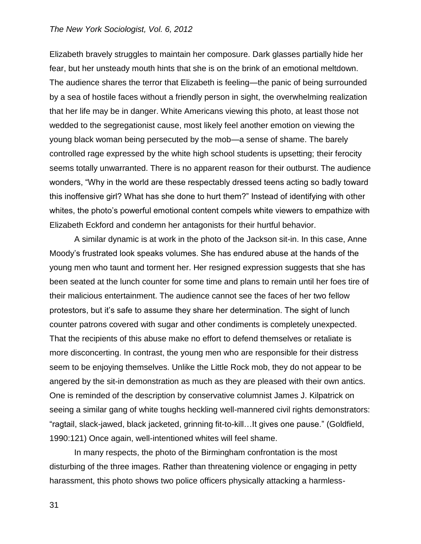Elizabeth bravely struggles to maintain her composure. Dark glasses partially hide her fear, but her unsteady mouth hints that she is on the brink of an emotional meltdown. The audience shares the terror that Elizabeth is feeling—the panic of being surrounded by a sea of hostile faces without a friendly person in sight, the overwhelming realization that her life may be in danger. White Americans viewing this photo, at least those not wedded to the segregationist cause, most likely feel another emotion on viewing the young black woman being persecuted by the mob—a sense of shame. The barely controlled rage expressed by the white high school students is upsetting; their ferocity seems totally unwarranted. There is no apparent reason for their outburst. The audience wonders, "Why in the world are these respectably dressed teens acting so badly toward this inoffensive girl? What has she done to hurt them?" Instead of identifying with other whites, the photo's powerful emotional content compels white viewers to empathize with Elizabeth Eckford and condemn her antagonists for their hurtful behavior.

A similar dynamic is at work in the photo of the Jackson sit-in. In this case, Anne Moody's frustrated look speaks volumes. She has endured abuse at the hands of the young men who taunt and torment her. Her resigned expression suggests that she has been seated at the lunch counter for some time and plans to remain until her foes tire of their malicious entertainment. The audience cannot see the faces of her two fellow protestors, but it's safe to assume they share her determination. The sight of lunch counter patrons covered with sugar and other condiments is completely unexpected. That the recipients of this abuse make no effort to defend themselves or retaliate is more disconcerting. In contrast, the young men who are responsible for their distress seem to be enjoying themselves. Unlike the Little Rock mob, they do not appear to be angered by the sit-in demonstration as much as they are pleased with their own antics. One is reminded of the description by conservative columnist James J. Kilpatrick on seeing a similar gang of white toughs heckling well-mannered civil rights demonstrators: "ragtail, slack-jawed, black jacketed, grinning fit-to-kill…It gives one pause." (Goldfield, 1990:121) Once again, well-intentioned whites will feel shame.

In many respects, the photo of the Birmingham confrontation is the most disturbing of the three images. Rather than threatening violence or engaging in petty harassment, this photo shows two police officers physically attacking a harmless-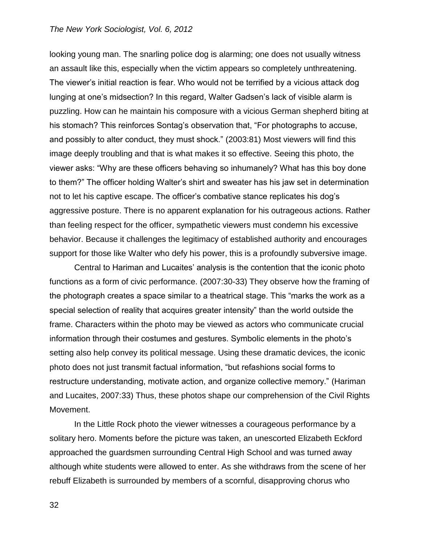looking young man. The snarling police dog is alarming; one does not usually witness an assault like this, especially when the victim appears so completely unthreatening. The viewer's initial reaction is fear. Who would not be terrified by a vicious attack dog lunging at one's midsection? In this regard, Walter Gadsen's lack of visible alarm is puzzling. How can he maintain his composure with a vicious German shepherd biting at his stomach? This reinforces Sontag's observation that, "For photographs to accuse, and possibly to alter conduct, they must shock." (2003:81) Most viewers will find this image deeply troubling and that is what makes it so effective. Seeing this photo, the viewer asks: "Why are these officers behaving so inhumanely? What has this boy done to them?" The officer holding Walter's shirt and sweater has his jaw set in determination not to let his captive escape. The officer's combative stance replicates his dog's aggressive posture. There is no apparent explanation for his outrageous actions. Rather than feeling respect for the officer, sympathetic viewers must condemn his excessive behavior. Because it challenges the legitimacy of established authority and encourages support for those like Walter who defy his power, this is a profoundly subversive image.

Central to Hariman and Lucaites' analysis is the contention that the iconic photo functions as a form of civic performance. (2007:30-33) They observe how the framing of the photograph creates a space similar to a theatrical stage. This "marks the work as a special selection of reality that acquires greater intensity" than the world outside the frame. Characters within the photo may be viewed as actors who communicate crucial information through their costumes and gestures. Symbolic elements in the photo's setting also help convey its political message. Using these dramatic devices, the iconic photo does not just transmit factual information, "but refashions social forms to restructure understanding, motivate action, and organize collective memory." (Hariman and Lucaites, 2007:33) Thus, these photos shape our comprehension of the Civil Rights Movement.

In the Little Rock photo the viewer witnesses a courageous performance by a solitary hero. Moments before the picture was taken, an unescorted Elizabeth Eckford approached the guardsmen surrounding Central High School and was turned away although white students were allowed to enter. As she withdraws from the scene of her rebuff Elizabeth is surrounded by members of a scornful, disapproving chorus who

32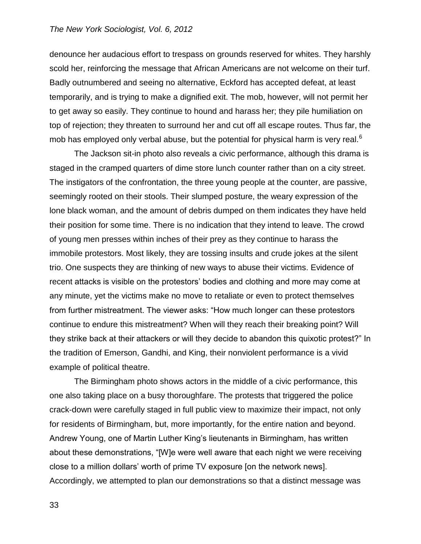denounce her audacious effort to trespass on grounds reserved for whites. They harshly scold her, reinforcing the message that African Americans are not welcome on their turf. Badly outnumbered and seeing no alternative, Eckford has accepted defeat, at least temporarily, and is trying to make a dignified exit. The mob, however, will not permit her to get away so easily. They continue to hound and harass her; they pile humiliation on top of rejection; they threaten to surround her and cut off all escape routes. Thus far, the mob has employed only verbal abuse, but the potential for physical harm is very real. $6$ 

The Jackson sit-in photo also reveals a civic performance, although this drama is staged in the cramped quarters of dime store lunch counter rather than on a city street. The instigators of the confrontation, the three young people at the counter, are passive, seemingly rooted on their stools. Their slumped posture, the weary expression of the lone black woman, and the amount of debris dumped on them indicates they have held their position for some time. There is no indication that they intend to leave. The crowd of young men presses within inches of their prey as they continue to harass the immobile protestors. Most likely, they are tossing insults and crude jokes at the silent trio. One suspects they are thinking of new ways to abuse their victims. Evidence of recent attacks is visible on the protestors' bodies and clothing and more may come at any minute, yet the victims make no move to retaliate or even to protect themselves from further mistreatment. The viewer asks: "How much longer can these protestors continue to endure this mistreatment? When will they reach their breaking point? Will they strike back at their attackers or will they decide to abandon this quixotic protest?" In the tradition of Emerson, Gandhi, and King, their nonviolent performance is a vivid example of political theatre.

The Birmingham photo shows actors in the middle of a civic performance, this one also taking place on a busy thoroughfare. The protests that triggered the police crack-down were carefully staged in full public view to maximize their impact, not only for residents of Birmingham, but, more importantly, for the entire nation and beyond. Andrew Young, one of Martin Luther King's lieutenants in Birmingham, has written about these demonstrations, "[W]e were well aware that each night we were receiving close to a million dollars' worth of prime TV exposure [on the network news]. Accordingly, we attempted to plan our demonstrations so that a distinct message was

33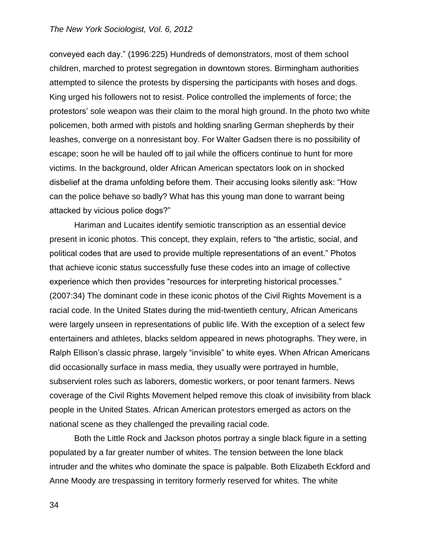conveyed each day." (1996:225) Hundreds of demonstrators, most of them school children, marched to protest segregation in downtown stores. Birmingham authorities attempted to silence the protests by dispersing the participants with hoses and dogs. King urged his followers not to resist. Police controlled the implements of force; the protestors' sole weapon was their claim to the moral high ground. In the photo two white policemen, both armed with pistols and holding snarling German shepherds by their leashes, converge on a nonresistant boy. For Walter Gadsen there is no possibility of escape; soon he will be hauled off to jail while the officers continue to hunt for more victims. In the background, older African American spectators look on in shocked disbelief at the drama unfolding before them. Their accusing looks silently ask: "How can the police behave so badly? What has this young man done to warrant being attacked by vicious police dogs?"

Hariman and Lucaites identify semiotic transcription as an essential device present in iconic photos. This concept, they explain, refers to "the artistic, social, and political codes that are used to provide multiple representations of an event." Photos that achieve iconic status successfully fuse these codes into an image of collective experience which then provides "resources for interpreting historical processes." (2007:34) The dominant code in these iconic photos of the Civil Rights Movement is a racial code. In the United States during the mid-twentieth century, African Americans were largely unseen in representations of public life. With the exception of a select few entertainers and athletes, blacks seldom appeared in news photographs. They were, in Ralph Ellison's classic phrase, largely "invisible" to white eyes. When African Americans did occasionally surface in mass media, they usually were portrayed in humble, subservient roles such as laborers, domestic workers, or poor tenant farmers. News coverage of the Civil Rights Movement helped remove this cloak of invisibility from black people in the United States. African American protestors emerged as actors on the national scene as they challenged the prevailing racial code.

Both the Little Rock and Jackson photos portray a single black figure in a setting populated by a far greater number of whites. The tension between the lone black intruder and the whites who dominate the space is palpable. Both Elizabeth Eckford and Anne Moody are trespassing in territory formerly reserved for whites. The white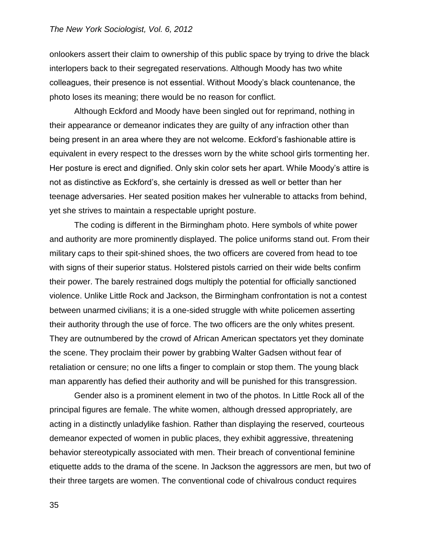onlookers assert their claim to ownership of this public space by trying to drive the black interlopers back to their segregated reservations. Although Moody has two white colleagues, their presence is not essential. Without Moody's black countenance, the photo loses its meaning; there would be no reason for conflict.

Although Eckford and Moody have been singled out for reprimand, nothing in their appearance or demeanor indicates they are guilty of any infraction other than being present in an area where they are not welcome. Eckford's fashionable attire is equivalent in every respect to the dresses worn by the white school girls tormenting her. Her posture is erect and dignified. Only skin color sets her apart. While Moody's attire is not as distinctive as Eckford's, she certainly is dressed as well or better than her teenage adversaries. Her seated position makes her vulnerable to attacks from behind, yet she strives to maintain a respectable upright posture.

The coding is different in the Birmingham photo. Here symbols of white power and authority are more prominently displayed. The police uniforms stand out. From their military caps to their spit-shined shoes, the two officers are covered from head to toe with signs of their superior status. Holstered pistols carried on their wide belts confirm their power. The barely restrained dogs multiply the potential for officially sanctioned violence. Unlike Little Rock and Jackson, the Birmingham confrontation is not a contest between unarmed civilians; it is a one-sided struggle with white policemen asserting their authority through the use of force. The two officers are the only whites present. They are outnumbered by the crowd of African American spectators yet they dominate the scene. They proclaim their power by grabbing Walter Gadsen without fear of retaliation or censure; no one lifts a finger to complain or stop them. The young black man apparently has defied their authority and will be punished for this transgression.

Gender also is a prominent element in two of the photos. In Little Rock all of the principal figures are female. The white women, although dressed appropriately, are acting in a distinctly unladylike fashion. Rather than displaying the reserved, courteous demeanor expected of women in public places, they exhibit aggressive, threatening behavior stereotypically associated with men. Their breach of conventional feminine etiquette adds to the drama of the scene. In Jackson the aggressors are men, but two of their three targets are women. The conventional code of chivalrous conduct requires

35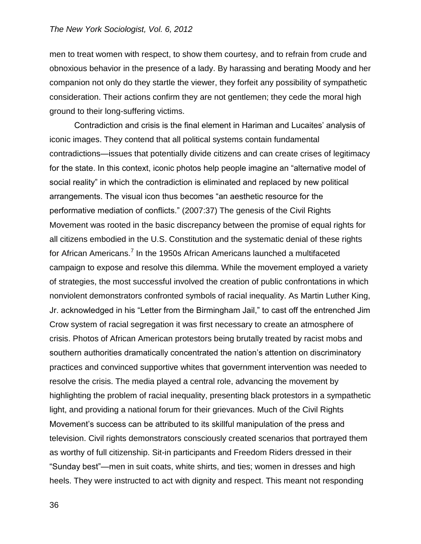men to treat women with respect, to show them courtesy, and to refrain from crude and obnoxious behavior in the presence of a lady. By harassing and berating Moody and her companion not only do they startle the viewer, they forfeit any possibility of sympathetic consideration. Their actions confirm they are not gentlemen; they cede the moral high ground to their long-suffering victims.

Contradiction and crisis is the final element in Hariman and Lucaites' analysis of iconic images. They contend that all political systems contain fundamental contradictions—issues that potentially divide citizens and can create crises of legitimacy for the state. In this context, iconic photos help people imagine an "alternative model of social reality" in which the contradiction is eliminated and replaced by new political arrangements. The visual icon thus becomes "an aesthetic resource for the performative mediation of conflicts." (2007:37) The genesis of the Civil Rights Movement was rooted in the basic discrepancy between the promise of equal rights for all citizens embodied in the U.S. Constitution and the systematic denial of these rights for African Americans.<sup>7</sup> In the 1950s African Americans launched a multifaceted campaign to expose and resolve this dilemma. While the movement employed a variety of strategies, the most successful involved the creation of public confrontations in which nonviolent demonstrators confronted symbols of racial inequality. As Martin Luther King, Jr. acknowledged in his "Letter from the Birmingham Jail," to cast off the entrenched Jim Crow system of racial segregation it was first necessary to create an atmosphere of crisis. Photos of African American protestors being brutally treated by racist mobs and southern authorities dramatically concentrated the nation's attention on discriminatory practices and convinced supportive whites that government intervention was needed to resolve the crisis. The media played a central role, advancing the movement by highlighting the problem of racial inequality, presenting black protestors in a sympathetic light, and providing a national forum for their grievances. Much of the Civil Rights Movement's success can be attributed to its skillful manipulation of the press and television. Civil rights demonstrators consciously created scenarios that portrayed them as worthy of full citizenship. Sit-in participants and Freedom Riders dressed in their "Sunday best"—men in suit coats, white shirts, and ties; women in dresses and high heels. They were instructed to act with dignity and respect. This meant not responding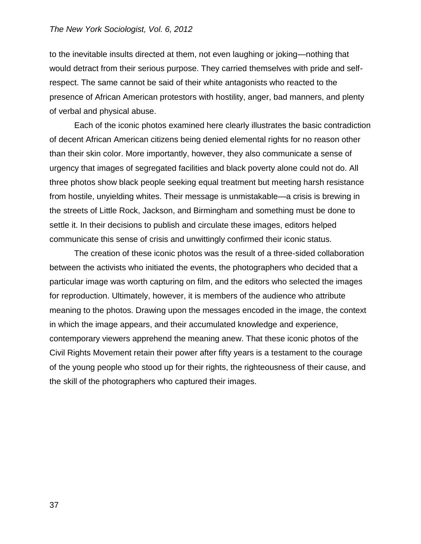to the inevitable insults directed at them, not even laughing or joking—nothing that would detract from their serious purpose. They carried themselves with pride and selfrespect. The same cannot be said of their white antagonists who reacted to the presence of African American protestors with hostility, anger, bad manners, and plenty of verbal and physical abuse.

Each of the iconic photos examined here clearly illustrates the basic contradiction of decent African American citizens being denied elemental rights for no reason other than their skin color. More importantly, however, they also communicate a sense of urgency that images of segregated facilities and black poverty alone could not do. All three photos show black people seeking equal treatment but meeting harsh resistance from hostile, unyielding whites. Their message is unmistakable—a crisis is brewing in the streets of Little Rock, Jackson, and Birmingham and something must be done to settle it. In their decisions to publish and circulate these images, editors helped communicate this sense of crisis and unwittingly confirmed their iconic status.

The creation of these iconic photos was the result of a three-sided collaboration between the activists who initiated the events, the photographers who decided that a particular image was worth capturing on film, and the editors who selected the images for reproduction. Ultimately, however, it is members of the audience who attribute meaning to the photos. Drawing upon the messages encoded in the image, the context in which the image appears, and their accumulated knowledge and experience, contemporary viewers apprehend the meaning anew. That these iconic photos of the Civil Rights Movement retain their power after fifty years is a testament to the courage of the young people who stood up for their rights, the righteousness of their cause, and the skill of the photographers who captured their images.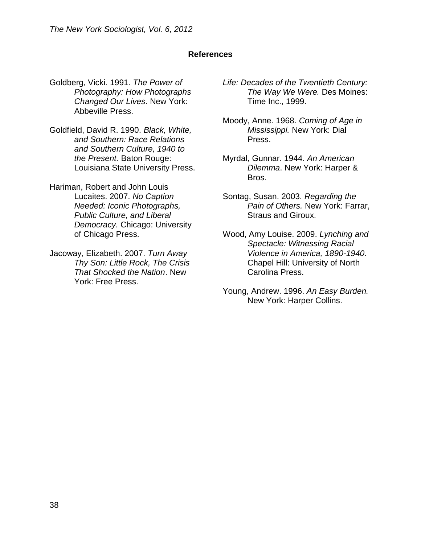# **References**

- Goldberg, Vicki. 1991. *The Power of Photography: How Photographs Changed Our Lives*. New York: Abbeville Press.
- Goldfield, David R. 1990. *Black, White, and Southern: Race Relations and Southern Culture, 1940 to the Present.* Baton Rouge: Louisiana State University Press.
- Hariman, Robert and John Louis Lucaites. 2007. *No Caption Needed: Iconic Photographs, Public Culture, and Liberal Democracy.* Chicago: University of Chicago Press.
- Jacoway, Elizabeth. 2007. *Turn Away Thy Son: Little Rock, The Crisis That Shocked the Nation*. New York: Free Press.
- *Life: Decades of the Twentieth Century: The Way We Were.* Des Moines: Time Inc., 1999.
- Moody, Anne. 1968. *Coming of Age in Mississippi.* New York: Dial Press.
- Myrdal, Gunnar. 1944. *An American Dilemma*. New York: Harper & Bros.
- Sontag, Susan. 2003. *Regarding the Pain of Others.* New York: Farrar, Straus and Giroux.
- Wood, Amy Louise. 2009. *Lynching and Spectacle: Witnessing Racial Violence in America, 1890-1940*. Chapel Hill: University of North Carolina Press.
- Young, Andrew. 1996. *An Easy Burden.* New York: Harper Collins.